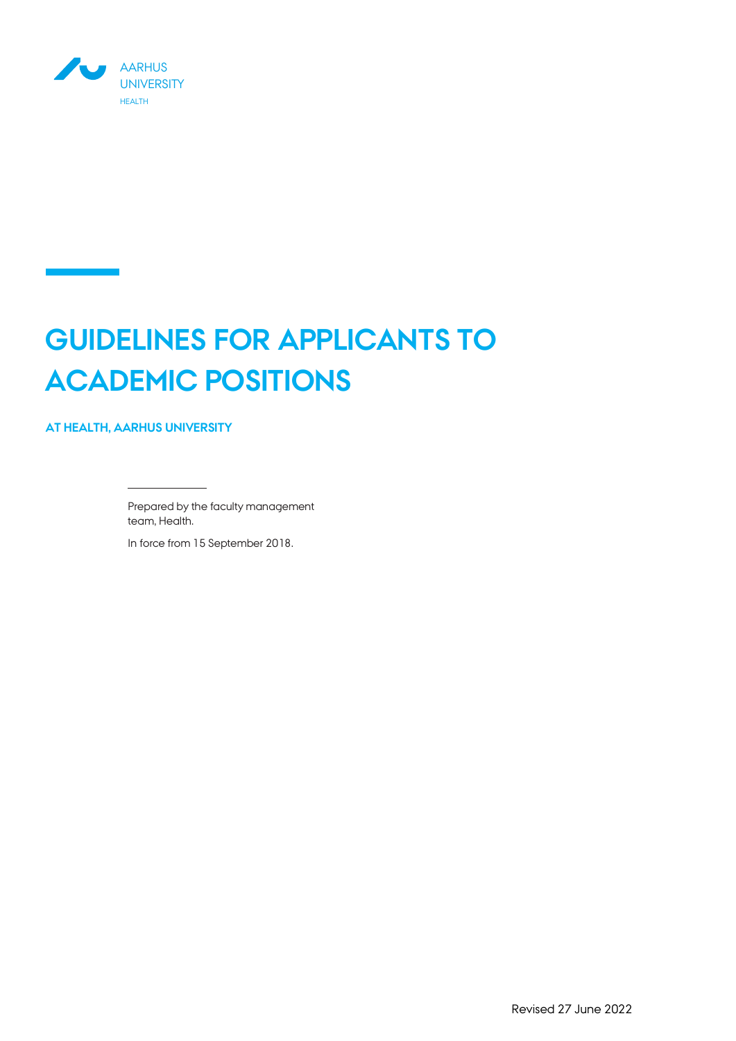

# **GUIDELINES FOR APPLICANTS TO ACADEMIC POSITIONS**

**AT HEALTH, AARHUS UNIVERSITY**

Prepared by the faculty management team, Health.

In force from 15 September 2018.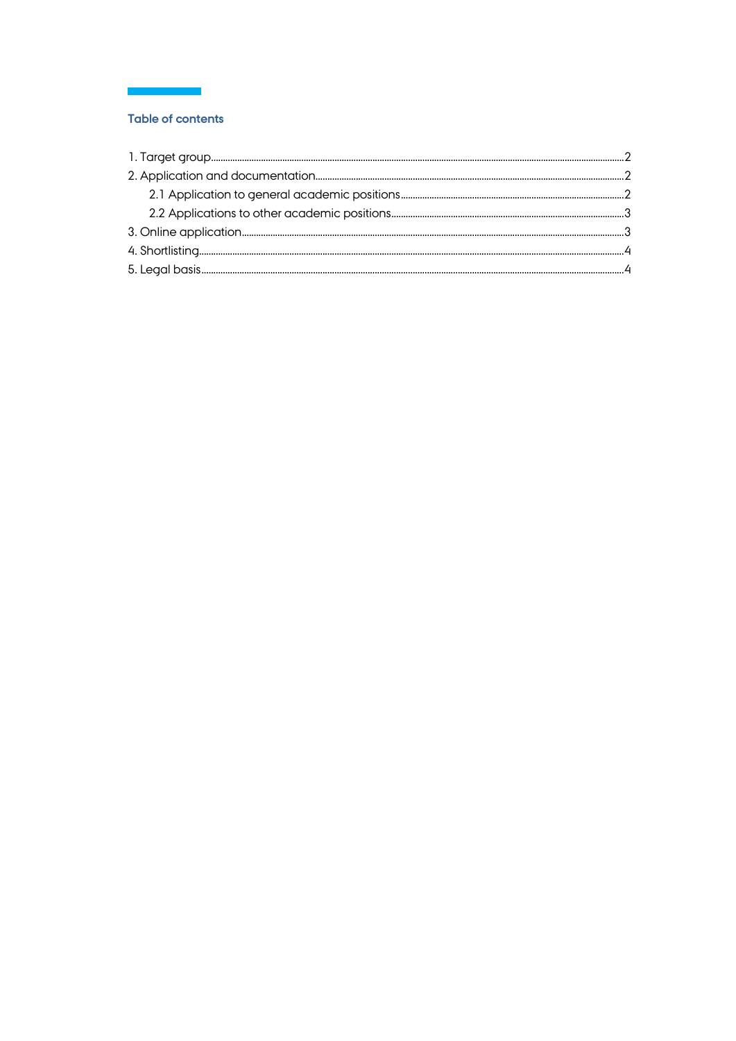# **Table of contents**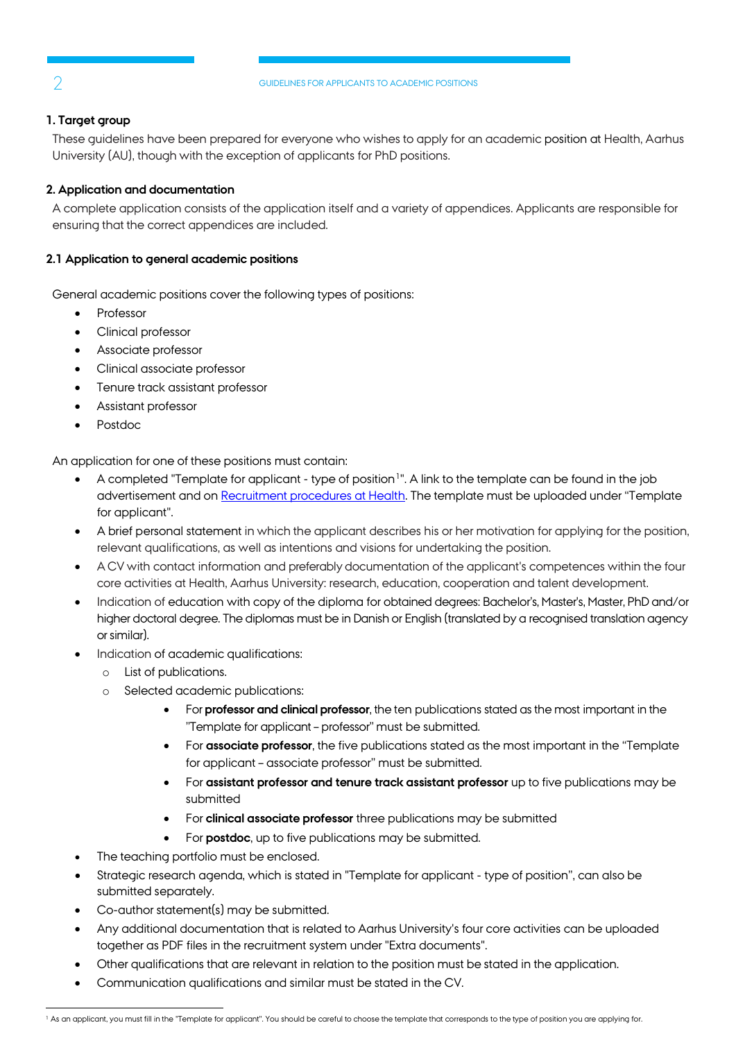# <span id="page-2-0"></span>**1. Target group**

These guidelines have been prepared for everyone who wishes to apply for an academic position at Health, Aarhus University (AU), though with the exception of applicants for PhD positions.

# <span id="page-2-1"></span>**2. Application and documentation**

A complete application consists of the application itself and a variety of appendices. Applicants are responsible for ensuring that the correct appendices are included.

# <span id="page-2-2"></span>**2.1 Application to general academic positions**

I

General academic positions cover the following types of positions:

- Professor
- Clinical professor
- Associate professor
- Clinical associate professor
- Tenure track assistant professor
- Assistant professor
- Postdoc

An application for one of these positions must contain:

- A completed "Template for applicant type of position<sup>1</sup>". A link to the template can be found in the job advertisement and o[n Recruitment procedures at Health.](https://health.au.dk/en/about-health/vacant-positions/recruitment-procedures-at-health/) The template must be uploaded under "Template for applicant".
- A brief personal statement in which the applicant describes his or her motivation for applying for the position, relevant qualifications, as well as intentions and visions for undertaking the position.
- A CV with contact information and preferably documentation of the applicant's competences within the four core activities at Health, Aarhus University: research, education, cooperation and talent development.
- Indication of education with copy of the diploma for obtained degrees: Bachelor's, Master's, Master, PhD and/or higher doctoral degree. The diplomas must be in Danish or English (translated by a recognised translation agency or similar).
- Indication of academic qualifications:
	- o List of publications.
	- o Selected academic publications:
		- For **professor and clinical professor**, the ten publications stated as the most important in the "Template for applicant – professor" must be submitted.
		- For **associate professor**, the five publications stated as the most important in the "Template for applicant – associate professor" must be submitted.
		- For **assistant professor and tenure track assistant professor** up to five publications may be submitted
		- For **clinical associate professor** three publications may be submitted
		- For **postdoc**, up to five publications may be submitted.
- The teaching portfolio must be enclosed.
- Strategic research agenda, which is stated in "Template for applicant type of position", can also be submitted separately.
- Co-author statement(s) may be submitted.
- Any additional documentation that is related to Aarhus University's four core activities can be uploaded together as PDF files in the recruitment system under "Extra documents".
- Other qualifications that are relevant in relation to the position must be stated in the application.
- Communication qualifications and similar must be stated in the CV.

 $\mathcal{L}$ 

<span id="page-2-3"></span><sup>&</sup>lt;sup>1</sup> As an applicant, you must fill in the "Template for applicant". You should be careful to choose the template that corresponds to the type of position you are applying for.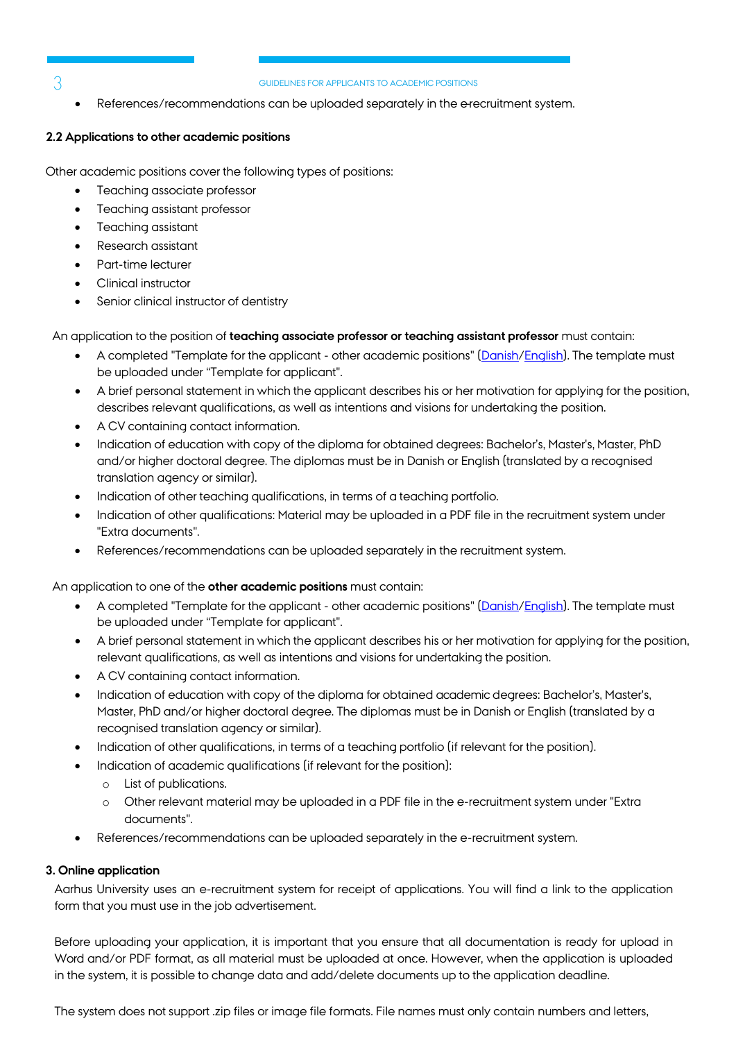3

#### GUIDELINES FOR APPLICANTS TO ACADEMIC POSITIONS

References/recommendations can be uploaded separately in the e-recruitment system.

### <span id="page-3-0"></span>**2.2 Applications to other academic positions**

I

Other academic positions cover the following types of positions:

- Teaching associate professor
- Teaching assistant professor
- Teaching assistant
- Research assistant
- Part-time lecturer
- Clinical instructor
- Senior clinical instructor of dentistry

An application to the position of **teaching associate professor or teaching assistant professor** must contain:

- A completed "Template for the applicant other academic positions" [\(Danish](https://health.au.dk/fileadmin/www.health.au.dk/Om_Health_Ekstern/Ledige_stillinger/Ansaettelsesprocedurer/Word/Skabelon-til-ansoeger-oevrige-videnskabelige-stillinger.docx)[/English\)](https://health.au.dk/fileadmin/www.health.au.dk/Om_Health_Ekstern/Ledige_stillinger/Ansaettelsesprocedurer/Word/Template-for-applicant-other-academic-positions.docx). The template must be uploaded under "Template for applicant".
- A brief personal statement in which the applicant describes his or her motivation for applying for the position, describes relevant qualifications, as well as intentions and visions for undertaking the position.
- A CV containing contact information.
- Indication of education with copy of the diploma for obtained degrees: Bachelor's, Master's, Master, PhD and/or higher doctoral degree. The diplomas must be in Danish or English (translated by a recognised translation agency or similar).
- Indication of other teaching qualifications, in terms of a teaching portfolio.
- Indication of other qualifications: Material may be uploaded in a PDF file in the recruitment system under "Extra documents".
- References/recommendations can be uploaded separately in the recruitment system.

An application to one of the **other academic positions** must contain:

- A completed "Template for the applicant other academic positions" [\(Danish](https://health.au.dk/fileadmin/www.health.au.dk/Om_Health_Ekstern/Ledige_stillinger/Ansaettelsesprocedurer/Word/Skabelon-til-ansoeger-oevrige-videnskabelige-stillinger.docx)[/English\)](https://health.au.dk/fileadmin/www.health.au.dk/Om_Health_Ekstern/Ledige_stillinger/Ansaettelsesprocedurer/Word/Template-for-applicant-other-academic-positions.docx). The template must be uploaded under "Template for applicant".
- A brief personal statement in which the applicant describes his or her motivation for applying for the position, relevant qualifications, as well as intentions and visions for undertaking the position.
- A CV containing contact information.
- Indication of education with copy of the diploma for obtained academic degrees: Bachelor's, Master's, Master, PhD and/or higher doctoral degree. The diplomas must be in Danish or English (translated by a recognised translation agency or similar).
- Indication of other qualifications, in terms of a teaching portfolio (if relevant for the position).
- Indication of academic qualifications (if relevant for the position):
	- o List of publications.
	- o Other relevant material may be uploaded in a PDF file in the e-recruitment system under "Extra documents".
- References/recommendations can be uploaded separately in the e-recruitment system.

### <span id="page-3-1"></span>**3. Online application**

Aarhus University uses an e-recruitment system for receipt of applications. You will find a link to the application form that you must use in the job advertisement.

Before uploading your application, it is important that you ensure that all documentation is ready for upload in Word and/or PDF format, as all material must be uploaded at once. However, when the application is uploaded in the system, it is possible to change data and add/delete documents up to the application deadline.

The system does not support .zip files or image file formats. File names must only contain numbers and letters,